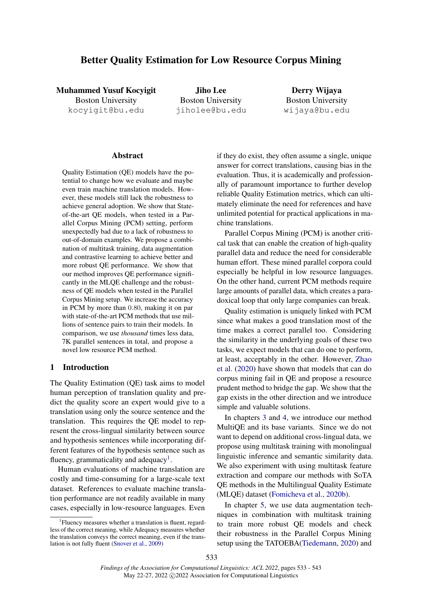# Better Quality Estimation for Low Resource Corpus Mining

Muhammed Yusuf Kocyigit Boston University kocyigit@bu.edu

Jiho Lee Boston University jiholee@bu.edu

Derry Wijaya Boston University wijaya@bu.edu

#### **Abstract**

Quality Estimation (QE) models have the potential to change how we evaluate and maybe even train machine translation models. However, these models still lack the robustness to achieve general adoption. We show that Stateof-the-art QE models, when tested in a Parallel Corpus Mining (PCM) setting, perform unexpectedly bad due to a lack of robustness to out-of-domain examples. We propose a combination of multitask training, data augmentation and contrastive learning to achieve better and more robust QE performance. We show that our method improves QE performance significantly in the MLQE challenge and the robustness of QE models when tested in the Parallel Corpus Mining setup. We increase the accuracy in PCM by more than 0.80, making it on par with state-of-the-art PCM methods that use millions of sentence pairs to train their models. In comparison, we use *thousand* times less data, 7K parallel sentences in total, and propose a novel low resource PCM method.

# 1 Introduction

The Quality Estimation (QE) task aims to model human perception of translation quality and predict the quality score an expert would give to a translation using only the source sentence and the translation. This requires the QE model to represent the cross-lingual similarity between source and hypothesis sentences while incorporating different features of the hypothesis sentence such as fluency, grammaticality and adequacy<sup>[1](#page-0-0)</sup>.

Human evaluations of machine translation are costly and time-consuming for a large-scale text dataset. References to evaluate machine translation performance are not readily available in many cases, especially in low-resource languages. Even if they do exist, they often assume a single, unique answer for correct translations, causing bias in the evaluation. Thus, it is academically and professionally of paramount importance to further develop reliable Quality Estimation metrics, which can ultimately eliminate the need for references and have unlimited potential for practical applications in machine translations.

Parallel Corpus Mining (PCM) is another critical task that can enable the creation of high-quality parallel data and reduce the need for considerable human effort. These mined parallel corpora could especially be helpful in low resource languages. On the other hand, current PCM methods require large amounts of parallel data, which creates a paradoxical loop that only large companies can break.

Quality estimation is uniquely linked with PCM since what makes a good translation most of the time makes a correct parallel too. Considering the similarity in the underlying goals of these two tasks, we expect models that can do one to perform, at least, acceptably in the other. However, [Zhao](#page-10-0) [et al.](#page-10-0) [\(2020\)](#page-10-0) have shown that models that can do corpus mining fail in QE and propose a resource prudent method to bridge the gap. We show that the gap exists in the other direction and we introduce simple and valuable solutions.

In chapters [3](#page-2-0) and [4,](#page-3-0) we introduce our method MultiQE and its base variants. Since we do not want to depend on additional cross-lingual data, we propose using multitask training with monolingual linguistic inference and semantic similarity data. We also experiment with using multitask feature extraction and compare our methods with SoTA QE methods in the Multilingual Quality Estimate (MLQE) dataset [\(Fomicheva et al.,](#page-8-0) [2020b\)](#page-8-0).

In chapter [5,](#page-4-0) we use data augmentation techniques in combination with multitask training to train more robust QE models and check their robustness in the Parallel Corpus Mining setup using the TATOEBA[\(Tiedemann,](#page-9-1) [2020\)](#page-9-1) and

<span id="page-0-0"></span><sup>&</sup>lt;sup>1</sup> Fluency measures whether a translation is fluent, regardless of the correct meaning, while Adequacy measures whether the translation conveys the correct meaning, even if the translation is not fully fluent [\(Snover et al.,](#page-9-0) [2009\)](#page-9-0)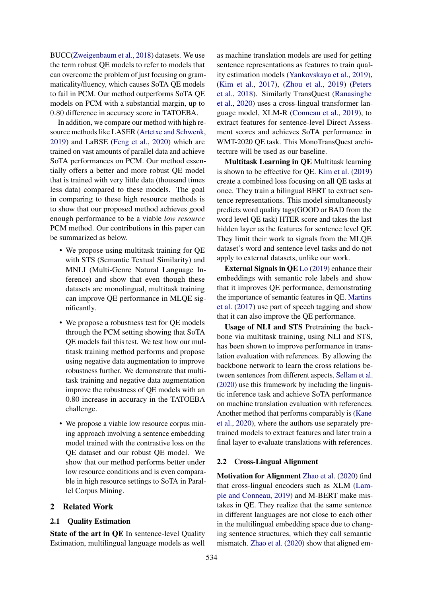BUCC[\(Zweigenbaum et al.,](#page-10-1) [2018\)](#page-10-1) datasets. We use the term robust QE models to refer to models that can overcome the problem of just focusing on grammaticality/fluency, which causes SoTA QE models to fail in PCM. Our method outperforms SoTA QE models on PCM with a substantial margin, up to 0.80 difference in accuracy score in TATOEBA.

In addition, we compare our method with high resource methods like LASER [\(Artetxe and Schwenk,](#page-8-1) [2019\)](#page-8-1) and LaBSE [\(Feng et al.,](#page-8-2) [2020\)](#page-8-2) which are trained on vast amounts of parallel data and achieve SoTA performances on PCM. Our method essentially offers a better and more robust QE model that is trained with very little data (thousand times less data) compared to these models. The goal in comparing to these high resource methods is to show that our proposed method achieves good enough performance to be a viable *low resource* PCM method. Our contributions in this paper can be summarized as below.

- We propose using multitask training for QE with STS (Semantic Textual Similarity) and MNLI (Multi-Genre Natural Language Inference) and show that even though these datasets are monolingual, multitask training can improve QE performance in MLQE significantly.
- We propose a robustness test for QE models through the PCM setting showing that SoTA QE models fail this test. We test how our multitask training method performs and propose using negative data augmentation to improve robustness further. We demonstrate that multitask training and negative data augmentation improve the robustness of QE models with an 0.80 increase in accuracy in the TATOEBA challenge.
- We propose a viable low resource corpus mining approach involving a sentence embedding model trained with the contrastive loss on the QE dataset and our robust QE model. We show that our method performs better under low resource conditions and is even comparable in high resource settings to SoTA in Parallel Corpus Mining.

# 2 Related Work

#### 2.1 Quality Estimation

State of the art in QE In sentence-level Quality Estimation, multilingual language models as well as machine translation models are used for getting sentence representations as features to train quality estimation models [\(Yankovskaya et al.,](#page-9-2) [2019\)](#page-9-2), [\(Kim et al.,](#page-9-3) [2017\)](#page-9-3), [\(Zhou et al.,](#page-10-2) [2019\)](#page-10-2) [\(Peters](#page-9-4) [et al.,](#page-9-4) [2018\)](#page-9-4). Similarly TransQuest [\(Ranasinghe](#page-9-5) [et al.,](#page-9-5) [2020\)](#page-9-5) uses a cross-lingual transformer language model, XLM-R [\(Conneau et al.,](#page-8-3) [2019\)](#page-8-3), to extract features for sentence-level Direct Assessment scores and achieves SoTA performance in WMT-2020 QE task. This MonoTransQuest architecture will be used as our baseline.

Multitask Learning in QE Multitask learning is shown to be effective for QE. [Kim et al.](#page-9-6) [\(2019\)](#page-9-6) create a combined loss focusing on all QE tasks at once. They train a bilingual BERT to extract sentence representations. This model simultaneously predicts word quality tags(GOOD or BAD from the word level QE task) HTER score and takes the last hidden layer as the features for sentence level QE. They limit their work to signals from the MLQE dataset's word and sentence level tasks and do not apply to external datasets, unlike our work.

External Signals in QE [Lo](#page-9-7) [\(2019\)](#page-9-7) enhance their embeddings with semantic role labels and show that it improves QE performance, demonstrating the importance of semantic features in QE. [Martins](#page-9-8) [et al.](#page-9-8) [\(2017\)](#page-9-8) use part of speech tagging and show that it can also improve the QE performance.

Usage of NLI and STS Pretraining the backbone via multitask training, using NLI and STS, has been shown to improve performance in translation evaluation with references. By allowing the backbone network to learn the cross relations between sentences from different aspects, [Sellam et al.](#page-9-9) [\(2020\)](#page-9-9) use this framework by including the linguistic inference task and achieve SoTA performance on machine translation evaluation with references. Another method that performs comparably is [\(Kane](#page-9-10) [et al.,](#page-9-10) [2020\)](#page-9-10), where the authors use separately pretrained models to extract features and later train a final layer to evaluate translations with references.

#### 2.2 Cross-Lingual Alignment

Motivation for Alignment [Zhao et al.](#page-10-0) [\(2020\)](#page-10-0) find that cross-lingual encoders such as XLM [\(Lam](#page-9-11)[ple and Conneau,](#page-9-11) [2019\)](#page-9-11) and M-BERT make mistakes in QE. They realize that the same sentence in different languages are not close to each other in the multilingual embedding space due to changing sentence structures, which they call semantic mismatch. [Zhao et al.](#page-10-0) [\(2020\)](#page-10-0) show that aligned em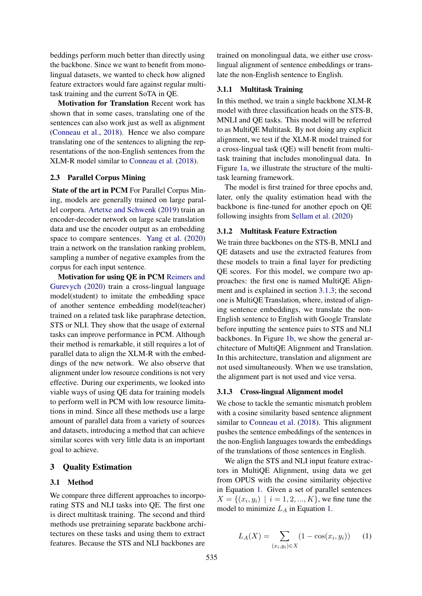beddings perform much better than directly using the backbone. Since we want to benefit from monolingual datasets, we wanted to check how aligned feature extractors would fare against regular multitask training and the current SoTA in QE.

Motivation for Translation Recent work has shown that in some cases, translating one of the sentences can also work just as well as alignment [\(Conneau et al.,](#page-8-4) [2018\)](#page-8-4). Hence we also compare translating one of the sentences to aligning the representations of the non-English sentences from the XLM-R model similar to [Conneau et al.](#page-8-4) [\(2018\)](#page-8-4).

#### 2.3 Parallel Corpus Mining

State of the art in PCM For Parallel Corpus Mining, models are generally trained on large parallel corpora. [Artetxe and Schwenk](#page-8-1) [\(2019\)](#page-8-1) train an encoder-decoder network on large scale translation data and use the encoder output as an embedding space to compare sentences. [Yang et al.](#page-9-12) [\(2020\)](#page-9-12) train a network on the translation ranking problem, sampling a number of negative examples from the corpus for each input sentence.

Motivation for using QE in PCM [Reimers and](#page-9-13) [Gurevych](#page-9-13) [\(2020\)](#page-9-13) train a cross-lingual language model(student) to imitate the embedding space of another sentence embedding model(teacher) trained on a related task like paraphrase detection, STS or NLI. They show that the usage of external tasks can improve performance in PCM. Although their method is remarkable, it still requires a lot of parallel data to align the XLM-R with the embeddings of the new network. We also observe that alignment under low resource conditions is not very effective. During our experiments, we looked into viable ways of using QE data for training models to perform well in PCM with low resource limitations in mind. Since all these methods use a large amount of parallel data from a variety of sources and datasets, introducing a method that can achieve similar scores with very little data is an important goal to achieve.

### <span id="page-2-0"></span>3 Quality Estimation

#### 3.1 Method

We compare three different approaches to incorporating STS and NLI tasks into QE. The first one is direct multitask training. The second and third methods use pretraining separate backbone architectures on these tasks and using them to extract features. Because the STS and NLI backbones are

trained on monolingual data, we either use crosslingual alignment of sentence embeddings or translate the non-English sentence to English.

# <span id="page-2-3"></span>3.1.1 Multitask Training

In this method, we train a single backbone XLM-R model with three classification heads on the STS-B, MNLI and QE tasks. This model will be referred to as MultiQE Multitask. By not doing any explicit alignment, we test if the XLM-R model trained for a cross-lingual task (QE) will benefit from multitask training that includes monolingual data. In Figure [1a,](#page-3-1) we illustrate the structure of the multitask learning framework.

The model is first trained for three epochs and, later, only the quality estimation head with the backbone is fine-tuned for another epoch on QE following insights from [Sellam et al.](#page-9-9) [\(2020\)](#page-9-9)

# 3.1.2 Multitask Feature Extraction

We train three backbones on the STS-B, MNLI and QE datasets and use the extracted features from these models to train a final layer for predicting QE scores. For this model, we compare two approaches: the first one is named MultiQE Alignment and is explained in section [3.1.3;](#page-2-1) the second one is MultiQE Translation, where, instead of aligning sentence embeddings, we translate the non-English sentence to English with Google Translate before inputting the sentence pairs to STS and NLI backbones. In Figure [1b,](#page-3-1) we show the general architecture of MultiQE Alignment and Translation. In this architecture, translation and alignment are not used simultaneously. When we use translation, the alignment part is not used and vice versa.

#### <span id="page-2-1"></span>3.1.3 Cross-lingual Alignment model

We chose to tackle the semantic mismatch problem with a cosine similarity based sentence alignment similar to [Conneau et al.](#page-8-4) [\(2018\)](#page-8-4). This alignment pushes the sentence embeddings of the sentences in the non-English languages towards the embeddings of the translations of those sentences in English.

We align the STS and NLI input feature extractors in MultiQE Alignment, using data we get from OPUS with the cosine similarity objective in Equation [1.](#page-2-2) Given a set of parallel sentences  $X = \{(x_i, y_i) \mid i = 1, 2, ..., K\}$ , we fine tune the model to minimize  $L_A$  in Equation [1.](#page-2-2)

<span id="page-2-2"></span>
$$
L_A(X) = \sum_{(x_i, y_i) \in X} (1 - \cos(x_i, y_i)) \tag{1}
$$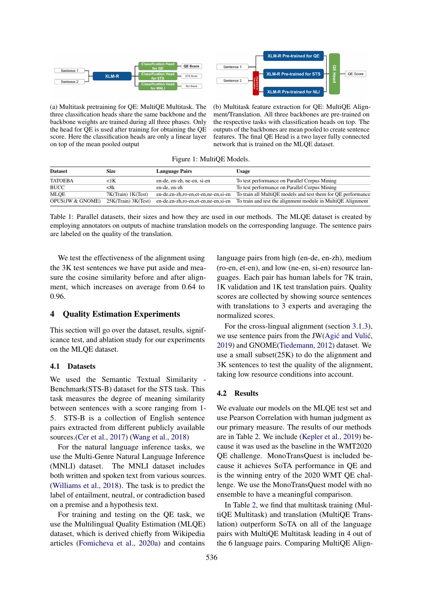<span id="page-3-1"></span>



(a) Multitask pretraining for QE: MultiQE Multitask. The three classification heads share the same backbone and the backbone weights are trained during all three phases. Only the head for QE is used after training for obtaining the QE score. Here the classification heads are only a linear layer on top of the mean pooled output

(b) Multitask feature extraction for QE: MultiQE Alignment/Translation. All three backbones are pre-trained on the respective tasks with classification heads on top. The outputs of the backbones are mean pooled to create sentence features. The final QE Head is a two layer fully connected network that is trained on the MLQE dataset.

Figure 1: MultiQE Models.

| <b>Dataset</b>              | <b>Size</b>         | <b>Language Pairs</b>                    | <b>Usage</b>                                                 |
|-----------------------------|---------------------|------------------------------------------|--------------------------------------------------------------|
| <b>TATOEBA</b>              | <1K                 | en-de, en-zh, ne-en, si-en               | To test performance on Parallel Corpus Mining                |
| <b>BUCC</b>                 | <8k                 | en-de, en-zh                             | To test performance on Parallel Corpus Mining                |
| <b>MLOE</b>                 | 7K(Train) 1K(Test)  | en-de, en-zh, ro-en, et-en, ne-en, si-en | To train all MultiQE models and test them for QE performance |
| <b>OPUS(JW &amp; GNOME)</b> | 25K(Train) 3K(Test) | en-de, en-zh, ro-en, et-en, ne-en, si-en | To train and test the alignment module in MultiQE Alignment  |

Table 1: Parallel datasets, their sizes and how they are used in our methods. The MLQE dataset is created by employing annotators on outputs of machine translation models on the corresponding language. The sentence pairs are labeled on the quality of the translation.

We test the effectiveness of the alignment using the 3K test sentences we have put aside and measure the cosine similarity before and after alignment, which increases on average from 0.64 to 0.96.

# <span id="page-3-0"></span>4 Quality Estimation Experiments

This section will go over the dataset, results, significance test, and ablation study for our experiments on the MLQE dataset.

#### 4.1 Datasets

We used the Semantic Textual Similarity - Benchmark(STS-B) dataset for the STS task. This task measures the degree of meaning similarity between sentences with a score ranging from 1- 5. STS-B is a collection of English sentence pairs extracted from different publicly available sources.[\(Cer et al.,](#page-8-5) [2017\)](#page-8-5) [\(Wang et al.,](#page-9-14) [2018\)](#page-9-14)

For the natural language inference tasks, we use the Multi-Genre Natural Language Inference (MNLI) dataset. The MNLI dataset includes both written and spoken text from various sources. [\(Williams et al.,](#page-9-15) [2018\)](#page-9-15). The task is to predict the label of entailment, neutral, or contradiction based on a premise and a hypothesis text.

For training and testing on the QE task, we use the Multilingual Quality Estimation (MLQE) dataset, which is derived chiefly from Wikipedia articles [\(Fomicheva et al.,](#page-8-6) [2020a\)](#page-8-6) and contains language pairs from high (en-de, en-zh), medium (ro-en, et-en), and low (ne-en, si-en) resource languages. Each pair has human labels for 7K train, 1K validation and 1K test translation pairs. Quality scores are collected by showing source sentences with translations to 3 experts and averaging the normalized scores.

For the cross-lingual alignment (section [3.1.3\)](#page-2-1), we use sentence pairs from the  $JW(Agi\acute{c}$  and Vulić, [2019\)](#page-8-7) and GNOME[\(Tiedemann,](#page-9-16) [2012\)](#page-9-16) dataset. We use a small subset(25K) to do the alignment and 3K sentences to test the quality of the alignment, taking low resource conditions into account.

#### 4.2 Results

We evaluate our models on the MLQE test set and use Pearson Correlation with human judgment as our primary measure. The results of our methods are in Table [2.](#page-4-1) We include [\(Kepler et al.,](#page-9-17) [2019\)](#page-9-17) because it was used as the baseline in the WMT2020 QE challenge. MonoTransQuest is included because it achieves SoTA performance in QE and is the winning entry of the 2020 WMT QE challenge. We use the MonoTransQuest model with no ensemble to have a meaningful comparison.

In Table [2,](#page-4-1) we find that multitask training (MultiQE Multitask) and translation (MultiQE Translation) outperform SoTA on all of the language pairs with MultiQE Multitask leading in 4 out of the 6 language pairs. Comparing MultiQE Align-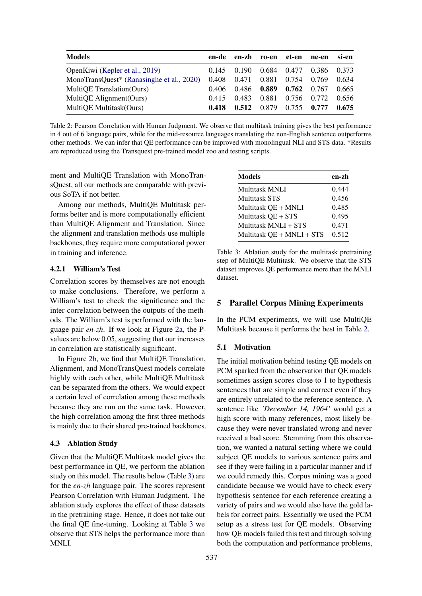<span id="page-4-1"></span>

| en-de |       |       |       | ne-en                | si-en                         |
|-------|-------|-------|-------|----------------------|-------------------------------|
| 0.145 | 0.190 |       |       | 0.386 0.373          |                               |
| 0.408 | 0.471 | 0.881 |       | 0.769                | 0.634                         |
| 0.406 | 0.486 | 0.889 |       | 0.767                | 0.665                         |
| 0.415 | 0.483 | 0.881 | 0.756 | 0.772                | 0.656                         |
| 0.418 | 0.512 | 0.879 |       | 0.777                | 0.675                         |
|       |       |       | en-zh | ro-en et-en<br>0.754 | 0.684 0.477<br>0.762<br>0.755 |

Table 2: Pearson Correlation with Human Judgment. We observe that multitask training gives the best performance in 4 out of 6 language pairs, while for the mid-resource languages translating the non-English sentence outperforms other methods. We can infer that QE performance can be improved with monolingual NLI and STS data. \*Results are reproduced using the Transquest pre-trained model zoo and testing scripts.

ment and MultiQE Translation with MonoTransQuest, all our methods are comparable with previous SoTA if not better.

Among our methods, MultiQE Multitask performs better and is more computationally efficient than MultiQE Alignment and Translation. Since the alignment and translation methods use multiple backbones, they require more computational power in training and inference.

#### 4.2.1 William's Test

Correlation scores by themselves are not enough to make conclusions. Therefore, we perform a William's test to check the significance and the inter-correlation between the outputs of the methods. The William's test is performed with the language pair *en-zh*. If we look at Figure [2a,](#page-5-0) the Pvalues are below 0.05, suggesting that our increases in correlation are statistically significant.

In Figure [2b,](#page-5-0) we find that MultiQE Translation, Alignment, and MonoTransQuest models correlate highly with each other, while MultiQE Multitask can be separated from the others. We would expect a certain level of correlation among these methods because they are run on the same task. However, the high correlation among the first three methods is mainly due to their shared pre-trained backbones.

#### 4.3 Ablation Study

Given that the MultiQE Multitask model gives the best performance in QE, we perform the ablation study on this model. The results below (Table [3\)](#page-4-2) are for the *en-zh* language pair. The scores represent Pearson Correlation with Human Judgment. The ablation study explores the effect of these datasets in the pretraining stage. Hence, it does not take out the final QE fine-tuning. Looking at Table [3](#page-4-2) we observe that STS helps the performance more than MNLI.

<span id="page-4-2"></span>

| <b>Models</b>             | en-zh |
|---------------------------|-------|
| Multitask MNLI            | 0.444 |
| <b>Multitask STS</b>      | 0.456 |
| Multitask QE + MNLI       | 0.485 |
| Multitask QE + STS        | 0.495 |
| Multitask MNLI + STS      | 0.471 |
| Multitask QE + MNLI + STS | 0.512 |

Table 3: Ablation study for the multitask pretraining step of MultiQE Multitask. We observe that the STS dataset improves QE performance more than the MNLI dataset.

# <span id="page-4-0"></span>5 Parallel Corpus Mining Experiments

In the PCM experiments, we will use MultiQE Multitask because it performs the best in Table [2.](#page-4-1)

#### 5.1 Motivation

The initial motivation behind testing QE models on PCM sparked from the observation that QE models sometimes assign scores close to 1 to hypothesis sentences that are simple and correct even if they are entirely unrelated to the reference sentence. A sentence like *'December 14, 1964'* would get a high score with many references, most likely because they were never translated wrong and never received a bad score. Stemming from this observation, we wanted a natural setting where we could subject QE models to various sentence pairs and see if they were failing in a particular manner and if we could remedy this. Corpus mining was a good candidate because we would have to check every hypothesis sentence for each reference creating a variety of pairs and we would also have the gold labels for correct pairs. Essentially we used the PCM setup as a stress test for QE models. Observing how QE models failed this test and through solving both the computation and performance problems,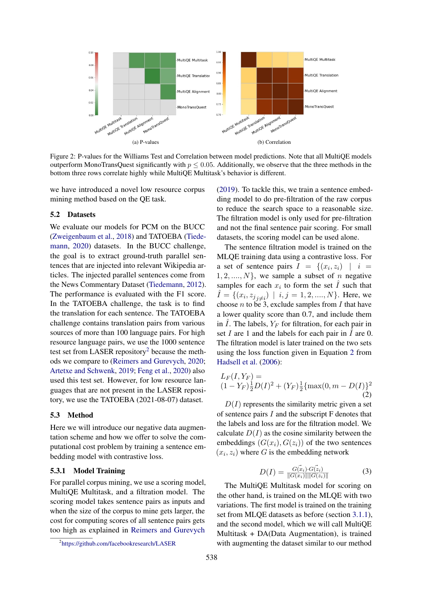<span id="page-5-0"></span>

Figure 2: P-values for the Williams Test and Correlation between model predictions. Note that all MultiQE models outperform MonoTransQuest significantly with  $p \le 0.05$ . Additionally, we observe that the three methods in the bottom three rows correlate highly while MultiQE Multitask's behavior is different.

we have introduced a novel low resource corpus mining method based on the QE task.

# 5.2 Datasets

We evaluate our models for PCM on the BUCC [\(Zweigenbaum et al.,](#page-10-1) [2018\)](#page-10-1) and TATOEBA [\(Tiede](#page-9-1)[mann,](#page-9-1) [2020\)](#page-9-1) datasets. In the BUCC challenge, the goal is to extract ground-truth parallel sentences that are injected into relevant Wikipedia articles. The injected parallel sentences come from the News Commentary Dataset [\(Tiedemann,](#page-9-16) [2012\)](#page-9-16). The performance is evaluated with the F1 score. In the TATOEBA challenge, the task is to find the translation for each sentence. The TATOEBA challenge contains translation pairs from various sources of more than 100 language pairs. For high resource language pairs, we use the 1000 sentence test set from LASER repository<sup>[2](#page-5-1)</sup> because the methods we compare to [\(Reimers and Gurevych,](#page-9-13) [2020;](#page-9-13) [Artetxe and Schwenk,](#page-8-1) [2019;](#page-8-1) [Feng et al.,](#page-8-2) [2020\)](#page-8-2) also used this test set. However, for low resource languages that are not present in the LASER repository, we use the TATOEBA (2021-08-07) dataset.

# 5.3 Method

Here we will introduce our negative data augmentation scheme and how we offer to solve the computational cost problem by training a sentence embedding model with contrastive loss.

# 5.3.1 Model Training

For parallel corpus mining, we use a scoring model, MultiQE Multitask, and a filtration model. The scoring model takes sentence pairs as inputs and when the size of the corpus to mine gets larger, the cost for computing scores of all sentence pairs gets too high as explained in [Reimers and Gurevych](#page-9-18)

[\(2019\)](#page-9-18). To tackle this, we train a sentence embedding model to do pre-filtration of the raw corpus to reduce the search space to a reasonable size. The filtration model is only used for pre-filtration and not the final sentence pair scoring. For small datasets, the scoring model can be used alone.

The sentence filtration model is trained on the MLQE training data using a contrastive loss. For a set of sentence pairs  $I = \{(x_i, z_i) \mid i =$  $1, 2, \ldots, N$ , we sample a subset of n negative samples for each  $x_i$  to form the set  $\hat{I}$  such that  $\hat{I} = \{ (x_i, z_{j}^{\text{}} \neq i) \mid i, j = 1, 2, \dots, N \}$ . Here, we choose  $n$  to be 3, exclude samples from  $I$  that have a lower quality score than 0.7, and include them in I. The labels,  $Y_F$  for filtration, for each pair in set I are 1 and the labels for each pair in I are 0. The filtration model is later trained on the two sets using the loss function given in Equation [2](#page-5-2) from [Hadsell et al.](#page-9-19) [\(2006\)](#page-9-19):

<span id="page-5-2"></span>
$$
L_F(I, Y_F) =
$$
  
(1 - Y\_F) $\frac{1}{2}$  $D(I)^2 + (Y_F)\frac{1}{2}$ {max(0, m – D(I))}^2  
(2)

 $D(I)$  represents the similarity metric given a set of sentence pairs  $I$  and the subscript  $F$  denotes that the labels and loss are for the filtration model. We calculate  $D(I)$  as the cosine similarity between the embeddings  $(G(x_i), G(z_i))$  of the two sentences  $(x_i, z_i)$  where G is the embedding network

$$
D(I) = \frac{G(\vec{x}_i) \cdot G(\vec{z}_i)}{\|G(x_i)\| \|G(z_i)\|} \tag{3}
$$

The MultiQE Multitask model for scoring on the other hand, is trained on the MLQE with two variations. The first model is trained on the training set from MLQE datasets as before (section [3.1.1\)](#page-2-3), and the second model, which we will call MultiQE Multitask + DA(Data Augmentation), is trained with augmenting the dataset similar to our method

<span id="page-5-1"></span><sup>2</sup> <https://github.com/facebookresearch/LASER>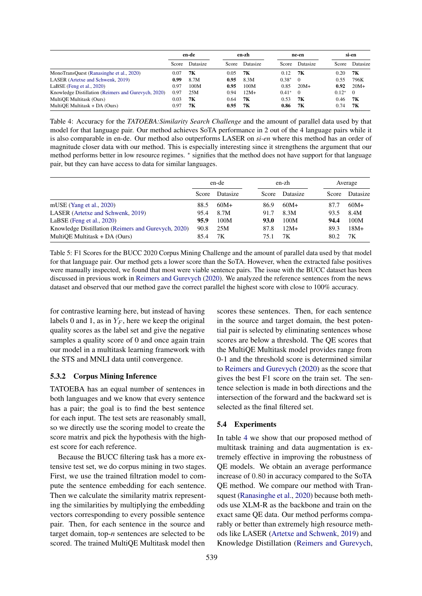<span id="page-6-0"></span>

|                                                     | en-de |          | en-zh |          | ne-en   |          | si-en   |          |
|-----------------------------------------------------|-------|----------|-------|----------|---------|----------|---------|----------|
|                                                     | Score | Datasize | Score | Datasize | Score   | Datasize | Score   | Datasize |
| MonoTransQuest (Ranasinghe et al., 2020)            | 0.07  | 7К       | 0.05  | 7К       | 0.12    | 7К       | 0.20    | 7К       |
| LASER (Artetxe and Schwenk, 2019)                   | 0.99  | 8.7M     | 0.95  | 8.3M     | $0.38*$ | $\theta$ | 0.55    | 796K     |
| LaBSE (Feng et al., $2020$ )                        | 0.97  | 100M     | 0.95  | 100M     | 0.85    | $20M+$   | 0.92    | $20M+$   |
| Knowledge Distillation (Reimers and Gurevych, 2020) | 0.97  | 25M      | 0.94  | $12M+$   | $0.41*$ | $\Omega$ | $0.12*$ | $\Omega$ |
| MultiQE Multitask (Ours)                            | 0.03  | 7К       | 0.64  | 7К       | 0.53    | 7К       | 0.46    | 7K       |
| MultiQE Multitask + DA (Ours)                       | 0.97  | 7К       | 0.95  | 7К       | 0.86    | 7K       | 0.74    | 7К       |

Table 4: Accuracy for the *TATOEBA:Similarity Search Challenge* and the amount of parallel data used by that model for that language pair. Our method achieves SoTA performance in 2 out of the 4 language pairs while it is also comparable in en-de. Our method also outperforms LASER on *si-en* where this method has an order of magnitude closer data with our method. This is especially interesting since it strengthens the argument that our method performs better in low resource regimes. \* signifies that the method does not have support for that language pair, but they can have access to data for similar languages.

<span id="page-6-1"></span>

|                                                     | en-de |          |       | en-zh    |       | Average  |  |
|-----------------------------------------------------|-------|----------|-------|----------|-------|----------|--|
|                                                     | Score | Datasize | Score | Datasize | Score | Datasize |  |
| mUSE (Yang et al., $2020$ )                         | 88.5  | $60M+$   | 86.9  | $60M+$   | 87.7  | $60M+$   |  |
| LASER (Artetxe and Schwenk, 2019)                   | 95.4  | 8.7M     | 91.7  | 8.3M     | 93.5  | 8.4M     |  |
| LaBSE (Feng et al., $2020$ )                        | 95.9  | 100M     | 93.0  | 100M     | 94.4  | 100M     |  |
| Knowledge Distillation (Reimers and Gurevych, 2020) | 90.8  | 25M      | 87.8  | $12M+$   | 89.3  | $18M+$   |  |
| MultiQE Multitask + DA (Ours)                       | 85.4  | 7Κ       | 75.1  | 7Κ       | 80.2  | 7K       |  |

Table 5: F1 Scores for the BUCC 2020 Corpus Mining Challenge and the amount of parallel data used by that model for that language pair. Our method gets a lower score than the SoTA. However, when the extracted false positives were manually inspected, we found that most were viable sentence pairs. The issue with the BUCC dataset has been discussed in previous work in [Reimers and Gurevych](#page-9-13) [\(2020\)](#page-9-13). We analyzed the reference sentences from the news dataset and observed that our method gave the correct parallel the highest score with close to 100% accuracy.

for contrastive learning here, but instead of having labels 0 and 1, as in  $Y_F$ , here we keep the original quality scores as the label set and give the negative samples a quality score of 0 and once again train our model in a multitask learning framework with the STS and MNLI data until convergence.

# 5.3.2 Corpus Mining Inference

TATOEBA has an equal number of sentences in both languages and we know that every sentence has a pair; the goal is to find the best sentence for each input. The test sets are reasonably small, so we directly use the scoring model to create the score matrix and pick the hypothesis with the highest score for each reference.

Because the BUCC filtering task has a more extensive test set, we do corpus mining in two stages. First, we use the trained filtration model to compute the sentence embedding for each sentence. Then we calculate the similarity matrix representing the similarities by multiplying the embedding vectors corresponding to every possible sentence pair. Then, for each sentence in the source and target domain, top-*n* sentences are selected to be scored. The trained MultiQE Multitask model then

scores these sentences. Then, for each sentence in the source and target domain, the best potential pair is selected by eliminating sentences whose scores are below a threshold. The QE scores that the MultiQE Multitask model provides range from 0-1 and the threshold score is determined similar to [Reimers and Gurevych](#page-9-13) [\(2020\)](#page-9-13) as the score that gives the best F1 score on the train set. The sentence selection is made in both directions and the intersection of the forward and the backward set is selected as the final filtered set.

#### 5.4 Experiments

In table [4](#page-6-0) we show that our proposed method of multitask training and data augmentation is extremely effective in improving the robustness of QE models. We obtain an average performance increase of 0.80 in accuracy compared to the SoTA QE method. We compare our method with Transquest [\(Ranasinghe et al.,](#page-9-5) [2020\)](#page-9-5) because both methods use XLM-R as the backbone and train on the exact same QE data. Our method performs comparably or better than extremely high resource methods like LASER [\(Artetxe and Schwenk,](#page-8-1) [2019\)](#page-8-1) and Knowledge Distillation [\(Reimers and Gurevych,](#page-9-13)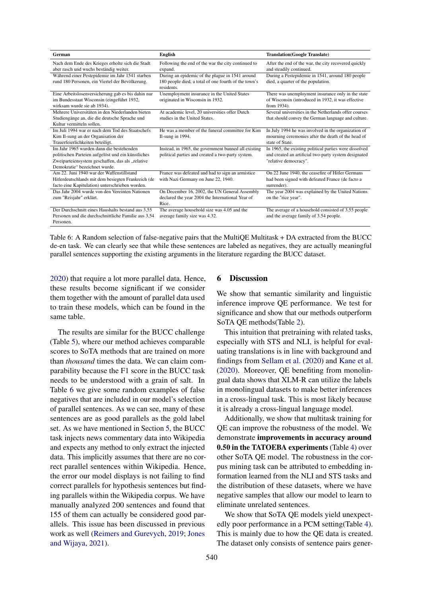<span id="page-7-0"></span>

| German                                              | <b>English</b>                                       | <b>Translation(Google Translate)</b>                   |  |  |
|-----------------------------------------------------|------------------------------------------------------|--------------------------------------------------------|--|--|
| Nach dem Ende des Krieges erholte sich die Stadt    | Following the end of the war the city continued to   | After the end of the war, the city recovered quickly   |  |  |
| aber rasch und wuchs beständig weiter.              | expand.                                              | and steadily continued.                                |  |  |
| Während einer Pestepidemie im Jahr 1541 starben     | During an epidemic of the plague in 1541 around      | During a Pestepidemie in 1541, around 180 people       |  |  |
| rund 180 Personen, ein Viertel der Bevölkerung.     | 180 people died, a total of one fourth of the town's | died, a quarter of the population.                     |  |  |
|                                                     | residents.                                           |                                                        |  |  |
| Eine Arbeitslosenversicherung gab es bis dahin nur  | Unemployment insurance in the United States          | There was unemployment insurance only in the state     |  |  |
| im Bundesstaat Wisconsin (eingeführt 1932,          | originated in Wisconsin in 1932.                     | of Wisconsin (introduced in 1932, it was effective     |  |  |
| wirksam wurde sie ab 1934).                         |                                                      | from 1934).                                            |  |  |
| Mehrere Universitäten in den Niederlanden bieten    | At academic level, 20 universities offer Dutch       | Several universities in the Netherlands offer courses  |  |  |
| Studiengänge an, die die deutsche Sprache und       | studies in the United States.                        | that should convey the German language and culture.    |  |  |
| Kultur vermitteln sollen.                           |                                                      |                                                        |  |  |
| Im Juli 1994 war er nach dem Tod des Staatschefs    | He was a member of the funeral committee for Kim     | In July 1994 he was involved in the organization of    |  |  |
| Kim Il-sung an der Organisation der                 | Il-sung in $1994$ .                                  | mourning ceremonies after the death of the head of     |  |  |
| Trauerfeierlichkeiten beteiligt.                    |                                                      | state of State.                                        |  |  |
| Im Jahr 1965 wurden dann die bestehenden            | Instead, in 1965, the government banned all existing | In 1965, the existing political parties were dissolved |  |  |
| politischen Parteien aufgelöst und ein künstliches  | political parties and created a two-party system.    | and created an artificial two-party system designated  |  |  |
| Zweiparteiensystem geschaffen, das als "relative    |                                                      | "relative democracy".                                  |  |  |
| Demokratie" bezeichnet wurde.                       |                                                      |                                                        |  |  |
| Am 22. Juni 1940 war der Waffenstillstand           | France was defeated and had to sign an armistice     | On 22 June 1940, the ceasefire of Hitler Germans       |  |  |
| Hitlerdeutschlands mit dem besiegten Frankreich (de | with Nazi Germany on June 22, 1940.                  | had been signed with defeated France (de facto a       |  |  |
| facto eine Kapitulation) unterschrieben worden.     |                                                      | surrender).                                            |  |  |
| Das Jahr 2004 wurde von den Vereinten Nationen      | On December 16, 2002, the UN General Assembly        | The year 2004 was explained by the United Nations      |  |  |
| zum "Reisjahr" erklärt.                             | declared the year 2004 the International Year of     | on the "rice year".                                    |  |  |
|                                                     | Rice.                                                |                                                        |  |  |
| Der Durchschnitt eines Haushalts bestand aus 3.55   | The average household size was 4.05 and the          | The average of a household consisted of 3.55 people    |  |  |
| Personen und die durchschnittliche Familie aus 3,54 | average family size was 4.32.                        | and the average family of 3.54 people.                 |  |  |
| Personen.                                           |                                                      |                                                        |  |  |

Table 6: A Random selection of false-negative pairs that the MultiQE Multitask + DA extracted from the BUCC de-en task. We can clearly see that while these sentences are labeled as negatives, they are actually meaningful parallel sentences supporting the existing arguments in the literature regarding the BUCC dataset.

[2020\)](#page-9-13) that require a lot more parallel data. Hence, these results become significant if we consider them together with the amount of parallel data used to train these models, which can be found in the same table.

The results are similar for the BUCC challenge (Table [5\)](#page-6-1), where our method achieves comparable scores to SoTA methods that are trained on more than *thousand* times the data. We can claim comparability because the F1 score in the BUCC task needs to be understood with a grain of salt. In Table [6](#page-7-0) we give some random examples of false negatives that are included in our model's selection of parallel sentences. As we can see, many of these sentences are as good parallels as the gold label set. As we have mentioned in Section [5,](#page-4-0) the BUCC task injects news commentary data into Wikipedia and expects any method to only extract the injected data. This implicitly assumes that there are no correct parallel sentences within Wikipedia. Hence, the error our model displays is not failing to find correct parallels for hypothesis sentences but finding parallels within the Wikipedia corpus. We have manually analyzed 200 sentences and found that 155 of them can actually be considered good parallels. This issue has been discussed in previous work as well [\(Reimers and Gurevych,](#page-9-18) [2019;](#page-9-18) [Jones](#page-9-20) [and Wijaya,](#page-9-20) [2021\)](#page-9-20).

# 6 Discussion

We show that semantic similarity and linguistic inference improve QE performance. We test for significance and show that our methods outperform SoTA QE methods(Table [2\)](#page-4-1).

This intuition that pretraining with related tasks, especially with STS and NLI, is helpful for evaluating translations is in line with background and findings from [Sellam et al.](#page-9-9) [\(2020\)](#page-9-9) and [Kane et al.](#page-9-10) [\(2020\)](#page-9-10). Moreover, QE benefiting from monolingual data shows that XLM-R can utilize the labels in monolingual datasets to make better inferences in a cross-lingual task. This is most likely because it is already a cross-lingual language model.

Additionally, we show that multitask training for QE can improve the robustness of the model. We demonstrate improvements in accuracy around 0.50 in the TATOEBA experiments (Table [4\)](#page-6-0) over other SoTA QE model. The robustness in the corpus mining task can be attributed to embedding information learned from the NLI and STS tasks and the distribution of these datasets, where we have negative samples that allow our model to learn to eliminate unrelated sentences.

We show that SoTA QE models yield unexpectedly poor performance in a PCM setting(Table [4\)](#page-6-0). This is mainly due to how the QE data is created. The dataset only consists of sentence pairs gener-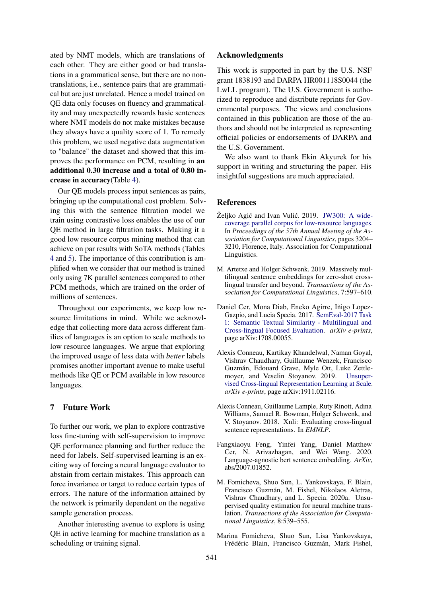ated by NMT models, which are translations of each other. They are either good or bad translations in a grammatical sense, but there are no nontranslations, i.e., sentence pairs that are grammatical but are just unrelated. Hence a model trained on QE data only focuses on fluency and grammaticality and may unexpectedly rewards basic sentences where NMT models do not make mistakes because they always have a quality score of 1. To remedy this problem, we used negative data augmentation to "balance" the dataset and showed that this improves the performance on PCM, resulting in an additional 0.30 increase and a total of 0.80 increase in accuracy(Table [4\)](#page-6-0).

Our QE models process input sentences as pairs, bringing up the computational cost problem. Solving this with the sentence filtration model we train using contrastive loss enables the use of our QE method in large filtration tasks. Making it a good low resource corpus mining method that can achieve on par results with SoTA methods (Tables [4](#page-6-0) and [5\)](#page-6-1). The importance of this contribution is amplified when we consider that our method is trained only using 7K parallel sentences compared to other PCM methods, which are trained on the order of millions of sentences.

Throughout our experiments, we keep low resource limitations in mind. While we acknowledge that collecting more data across different families of languages is an option to scale methods to low resource languages. We argue that exploring the improved usage of less data with *better* labels promises another important avenue to make useful methods like QE or PCM available in low resource languages.

# 7 Future Work

To further our work, we plan to explore contrastive loss fine-tuning with self-supervision to improve QE performance planning and further reduce the need for labels. Self-supervised learning is an exciting way of forcing a neural language evaluator to abstain from certain mistakes. This approach can force invariance or target to reduce certain types of errors. The nature of the information attained by the network is primarily dependent on the negative sample generation process.

Another interesting avenue to explore is using QE in active learning for machine translation as a scheduling or training signal.

# Acknowledgments

This work is supported in part by the U.S. NSF grant 1838193 and DARPA HR001118S0044 (the LwLL program). The U.S. Government is authorized to reproduce and distribute reprints for Governmental purposes. The views and conclusions contained in this publication are those of the authors and should not be interpreted as representing official policies or endorsements of DARPA and the U.S. Government.

We also want to thank Ekin Akyurek for his support in writing and structuring the paper. His insightful suggestions are much appreciated.

#### References

- <span id="page-8-7"></span>Željko Agić and Ivan Vulić. 2019. [JW300: A wide](https://doi.org/10.18653/v1/P19-1310)[coverage parallel corpus for low-resource languages.](https://doi.org/10.18653/v1/P19-1310) In *Proceedings of the 57th Annual Meeting of the Association for Computational Linguistics*, pages 3204– 3210, Florence, Italy. Association for Computational Linguistics.
- <span id="page-8-1"></span>M. Artetxe and Holger Schwenk. 2019. Massively multilingual sentence embeddings for zero-shot crosslingual transfer and beyond. *Transactions of the Association for Computational Linguistics*, 7:597–610.
- <span id="page-8-5"></span>Daniel Cer, Mona Diab, Eneko Agirre, Iñigo Lopez-Gazpio, and Lucia Specia. 2017. [SemEval-2017 Task](http://arxiv.org/abs/1708.00055) [1: Semantic Textual Similarity - Multilingual and](http://arxiv.org/abs/1708.00055) [Cross-lingual Focused Evaluation.](http://arxiv.org/abs/1708.00055) *arXiv e-prints*, page arXiv:1708.00055.
- <span id="page-8-3"></span>Alexis Conneau, Kartikay Khandelwal, Naman Goyal, Vishrav Chaudhary, Guillaume Wenzek, Francisco Guzmán, Edouard Grave, Myle Ott, Luke Zettlemoyer, and Veselin Stoyanov. 2019. [Unsuper](http://arxiv.org/abs/1911.02116)[vised Cross-lingual Representation Learning at Scale.](http://arxiv.org/abs/1911.02116) *arXiv e-prints*, page arXiv:1911.02116.
- <span id="page-8-4"></span>Alexis Conneau, Guillaume Lample, Ruty Rinott, Adina Williams, Samuel R. Bowman, Holger Schwenk, and V. Stoyanov. 2018. Xnli: Evaluating cross-lingual sentence representations. In *EMNLP*.
- <span id="page-8-2"></span>Fangxiaoyu Feng, Yinfei Yang, Daniel Matthew Cer, N. Arivazhagan, and Wei Wang. 2020. Language-agnostic bert sentence embedding. *ArXiv*, abs/2007.01852.
- <span id="page-8-6"></span>M. Fomicheva, Shuo Sun, L. Yankovskaya, F. Blain, Francisco Guzmán, M. Fishel, Nikolaos Aletras, Vishrav Chaudhary, and L. Specia. 2020a. Unsupervised quality estimation for neural machine translation. *Transactions of the Association for Computational Linguistics*, 8:539–555.
- <span id="page-8-0"></span>Marina Fomicheva, Shuo Sun, Lisa Yankovskaya, Frédéric Blain, Francisco Guzmán, Mark Fishel,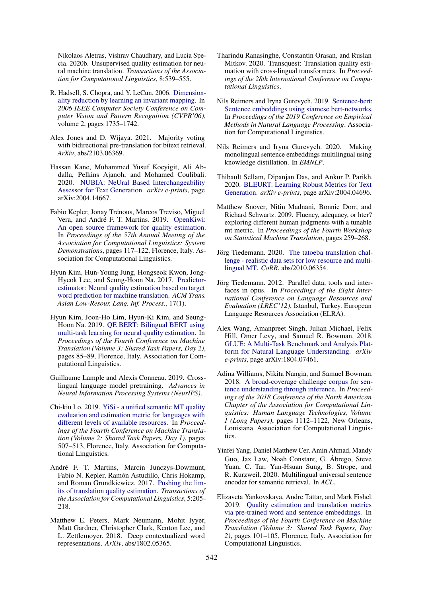Nikolaos Aletras, Vishrav Chaudhary, and Lucia Specia. 2020b. Unsupervised quality estimation for neural machine translation. *Transactions of the Association for Computational Linguistics*, 8:539–555.

- <span id="page-9-19"></span>R. Hadsell, S. Chopra, and Y. LeCun. 2006. [Dimension](https://doi.org/10.1109/CVPR.2006.100)[ality reduction by learning an invariant mapping.](https://doi.org/10.1109/CVPR.2006.100) In *2006 IEEE Computer Society Conference on Computer Vision and Pattern Recognition (CVPR'06)*, volume 2, pages 1735–1742.
- <span id="page-9-20"></span>Alex Jones and D. Wijaya. 2021. Majority voting with bidirectional pre-translation for bitext retrieval. *ArXiv*, abs/2103.06369.
- <span id="page-9-10"></span>Hassan Kane, Muhammed Yusuf Kocyigit, Ali Abdalla, Pelkins Ajanoh, and Mohamed Coulibali. 2020. [NUBIA: NeUral Based Interchangeability](http://arxiv.org/abs/2004.14667) [Assessor for Text Generation.](http://arxiv.org/abs/2004.14667) *arXiv e-prints*, page arXiv:2004.14667.
- <span id="page-9-17"></span>Fabio Kepler, Jonay Trénous, Marcos Treviso, Miguel Vera, and André F. T. Martins. 2019. [OpenKiwi:](https://doi.org/10.18653/v1/P19-3020) [An open source framework for quality estimation.](https://doi.org/10.18653/v1/P19-3020) In *Proceedings of the 57th Annual Meeting of the Association for Computational Linguistics: System Demonstrations*, pages 117–122, Florence, Italy. Association for Computational Linguistics.
- <span id="page-9-3"></span>Hyun Kim, Hun-Young Jung, Hongseok Kwon, Jong-Hyeok Lee, and Seung-Hoon Na. 2017. [Predictor](https://doi.org/10.1145/3109480)[estimator: Neural quality estimation based on target](https://doi.org/10.1145/3109480) [word prediction for machine translation.](https://doi.org/10.1145/3109480) *ACM Trans. Asian Low-Resour. Lang. Inf. Process.*, 17(1).
- <span id="page-9-6"></span>Hyun Kim, Joon-Ho Lim, Hyun-Ki Kim, and Seung-Hoon Na. 2019. [QE BERT: Bilingual BERT using](https://doi.org/10.18653/v1/W19-5407) [multi-task learning for neural quality estimation.](https://doi.org/10.18653/v1/W19-5407) In *Proceedings of the Fourth Conference on Machine Translation (Volume 3: Shared Task Papers, Day 2)*, pages 85–89, Florence, Italy. Association for Computational Linguistics.
- <span id="page-9-11"></span>Guillaume Lample and Alexis Conneau. 2019. Crosslingual language model pretraining. *Advances in Neural Information Processing Systems (NeurIPS)*.
- <span id="page-9-7"></span>Chi-kiu Lo. 2019. [YiSi - a unified semantic MT quality](https://doi.org/10.18653/v1/W19-5358) [evaluation and estimation metric for languages with](https://doi.org/10.18653/v1/W19-5358) [different levels of available resources.](https://doi.org/10.18653/v1/W19-5358) In *Proceedings of the Fourth Conference on Machine Translation (Volume 2: Shared Task Papers, Day 1)*, pages 507–513, Florence, Italy. Association for Computational Linguistics.
- <span id="page-9-8"></span>André F. T. Martins, Marcin Junczys-Dowmunt, Fabio N. Kepler, Ramón Astudillo, Chris Hokamp, and Roman Grundkiewicz. 2017. [Pushing the lim](https://doi.org/10.1162/tacl_a_00056)[its of translation quality estimation.](https://doi.org/10.1162/tacl_a_00056) *Transactions of the Association for Computational Linguistics*, 5:205– 218.
- <span id="page-9-4"></span>Matthew E. Peters, Mark Neumann, Mohit Iyyer, Matt Gardner, Christopher Clark, Kenton Lee, and L. Zettlemoyer. 2018. Deep contextualized word representations. *ArXiv*, abs/1802.05365.
- <span id="page-9-5"></span>Tharindu Ranasinghe, Constantin Orasan, and Ruslan Mitkov. 2020. Transquest: Translation quality estimation with cross-lingual transformers. In *Proceedings of the 28th International Conference on Computational Linguistics*.
- <span id="page-9-18"></span>Nils Reimers and Iryna Gurevych. 2019. [Sentence-bert:](http://arxiv.org/abs/1908.10084) [Sentence embeddings using siamese bert-networks.](http://arxiv.org/abs/1908.10084) In *Proceedings of the 2019 Conference on Empirical Methods in Natural Language Processing*. Association for Computational Linguistics.
- <span id="page-9-13"></span>Nils Reimers and Iryna Gurevych. 2020. Making monolingual sentence embeddings multilingual using knowledge distillation. In *EMNLP*.
- <span id="page-9-9"></span>Thibault Sellam, Dipanjan Das, and Ankur P. Parikh. 2020. [BLEURT: Learning Robust Metrics for Text](http://arxiv.org/abs/2004.04696) [Generation.](http://arxiv.org/abs/2004.04696) *arXiv e-prints*, page arXiv:2004.04696.
- <span id="page-9-0"></span>Matthew Snover, Nitin Madnani, Bonnie Dorr, and Richard Schwartz. 2009. Fluency, adequacy, or hter? exploring different human judgments with a tunable mt metric. In *Proceedings of the Fourth Workshop on Statistical Machine Translation*, pages 259–268.
- <span id="page-9-1"></span>Jörg Tiedemann. 2020. [The tatoeba translation chal](http://arxiv.org/abs/2010.06354)[lenge - realistic data sets for low resource and multi](http://arxiv.org/abs/2010.06354)[lingual MT.](http://arxiv.org/abs/2010.06354) *CoRR*, abs/2010.06354.
- <span id="page-9-16"></span>Jörg Tiedemann. 2012. Parallel data, tools and interfaces in opus. In *Proceedings of the Eight International Conference on Language Resources and Evaluation (LREC'12)*, Istanbul, Turkey. European Language Resources Association (ELRA).
- <span id="page-9-14"></span>Alex Wang, Amanpreet Singh, Julian Michael, Felix Hill, Omer Levy, and Samuel R. Bowman. 2018. [GLUE: A Multi-Task Benchmark and Analysis Plat](http://arxiv.org/abs/1804.07461)[form for Natural Language Understanding.](http://arxiv.org/abs/1804.07461) *arXiv e-prints*, page arXiv:1804.07461.
- <span id="page-9-15"></span>Adina Williams, Nikita Nangia, and Samuel Bowman. 2018. [A broad-coverage challenge corpus for sen](https://doi.org/10.18653/v1/N18-1101)[tence understanding through inference.](https://doi.org/10.18653/v1/N18-1101) In *Proceedings of the 2018 Conference of the North American Chapter of the Association for Computational Linguistics: Human Language Technologies, Volume 1 (Long Papers)*, pages 1112–1122, New Orleans, Louisiana. Association for Computational Linguistics.
- <span id="page-9-12"></span>Yinfei Yang, Daniel Matthew Cer, Amin Ahmad, Mandy Guo, Jax Law, Noah Constant, G. Ábrego, Steve Yuan, C. Tar, Yun-Hsuan Sung, B. Strope, and R. Kurzweil. 2020. Multilingual universal sentence encoder for semantic retrieval. In *ACL*.
- <span id="page-9-2"></span>Elizaveta Yankovskaya, Andre Tättar, and Mark Fishel. 2019. [Quality estimation and translation metrics](https://doi.org/10.18653/v1/W19-5410) [via pre-trained word and sentence embeddings.](https://doi.org/10.18653/v1/W19-5410) In *Proceedings of the Fourth Conference on Machine Translation (Volume 3: Shared Task Papers, Day 2)*, pages 101–105, Florence, Italy. Association for Computational Linguistics.